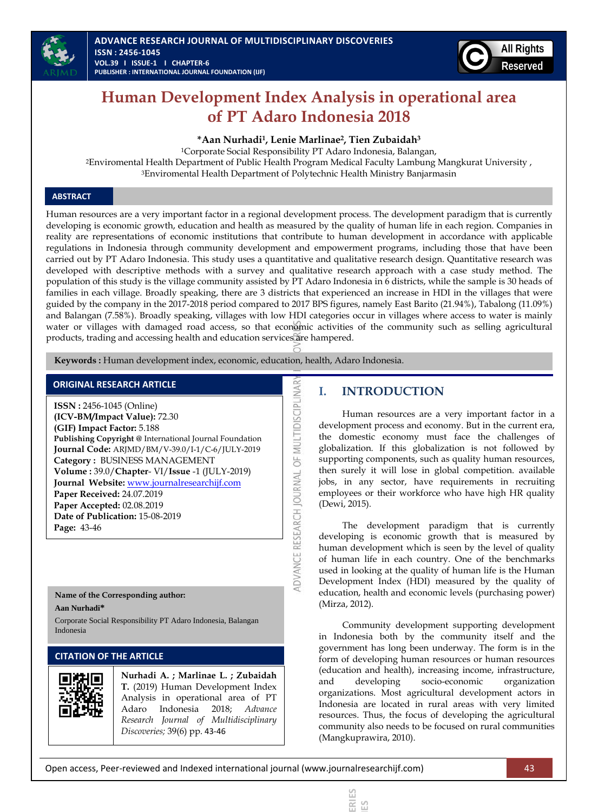



# **Human Development Index Analysis in operational area of PT Adaro Indonesia 2018**

**\*Aan Nurhadi<sup>1</sup> , Lenie Marlinae<sup>2</sup> , Tien Zubaidah<sup>3</sup>**

<sup>1</sup>Corporate Social Responsibility PT Adaro Indonesia, Balangan, <sup>2</sup>Enviromental Health Department of Public Health Program Medical Faculty Lambung Mangkurat University , <sup>3</sup>Enviromental Health Department of Polytechnic Health Ministry Banjarmasin

### **ABSTRACT**

Human resources are a very important factor in a regional development process. The development paradigm that is currently developing is economic growth, education and health as measured by the quality of human life in each region. Companies in reality are representations of economic institutions that contribute to human development in accordance with applicable regulations in Indonesia through community development and empowerment programs, including those that have been carried out by PT Adaro Indonesia. This study uses a quantitative and qualitative research design. Quantitative research was developed with descriptive methods with a survey and qualitative research approach with a case study method. The population of this study is the village community assisted by PT Adaro Indonesia in 6 districts, while the sample is 30 heads of families in each village. Broadly speaking, there are 3 districts that experienced an increase in HDI in the villages that were guided by the company in the 2017-2018 period compared to 2017 BPS figures, namely East Barito (21.94%), Tabalong (11.09%) and Balangan (7.58%). Broadly speaking, villages with low HDI categories occur in villages where access to water is mainly water or villages with damaged road access, so that economic activities of the community such as selling agricultural products, trading and accessing health and education services are hampered.

ADVANCE RESEARCH JOURNAL OF MULTIDISCIPLINAR

 **Keywords :** Human development index, economic, education, health, Adaro Indonesia.

### **ORIGINAL RESEARCH ARTICLE**

**ISSN :** 2456-1045 (Online) **(ICV-BM/Impact Value):** 72.30 **(GIF) Impact Factor:** 5.188 **Publishing Copyright @** International Journal Foundation **Journal Code:** ARJMD/BM/V-39.0/I-1/C-6/JULY-2019 **Category :** BUSINESS MANAGEMENT **Volume :** 39.0/**Chapter**- VI/**Issue** -1 (JULY-2019) **Journal Website:** [www.journalresearchijf.com](http://www.journalresearchijf.com/) **Paper Received:** 24.07.2019 **Paper Accepted:** 02.08.2019 **Date of Publication:** 15-08-2019 **Page:** 43-46

# **Name of the Corresponding author:**

**Aan Nurhadi\***

Corporate Social Responsibility PT Adaro Indonesia, Balangan Indonesia

## **CITATION OF THE ARTICLE**



**Nurhadi A. ; Marlinae L. ; Zubaidah T.** (2019) Human Development Index Analysis in operational area of PT Adaro Indonesia 2018; *Advance Research Journal of Multidisciplinary Discoveries;* 39(6) pp. 43-46

# **I. INTRODUCTION**

Human resources are a very important factor in a development process and economy. But in the current era, the domestic economy must face the challenges of globalization. If this globalization is not followed by supporting components, such as quality human resources, then surely it will lose in global competition. available jobs, in any sector, have requirements in recruiting employees or their workforce who have high HR quality (Dewi, 2015).

The development paradigm that is currently developing is economic growth that is measured by human development which is seen by the level of quality of human life in each country. One of the benchmarks used in looking at the quality of human life is the Human Development Index (HDI) measured by the quality of education, health and economic levels (purchasing power) (Mirza, 2012).

Community development supporting development in Indonesia both by the community itself and the government has long been underway. The form is in the form of developing human resources or human resources (education and health), increasing income, infrastructure, and developing socio-economic organization organizations. Most agricultural development actors in Indonesia are located in rural areas with very limited resources. Thus, the focus of developing the agricultural community also needs to be focused on rural communities (Mangkuprawira, 2010).

> **ADVANCE RESEARCH JOURNAL OF MULTIDISCIPLINARY DISCOVERIES ADVANCE RESEARCH JOURNAL OF MULTIDISCIPLINARY DISCOVERIES**

 $\overline{\sim}$ 

Open access, Peer-reviewed and Indexed international journal (www.journalresearchijf.com) 43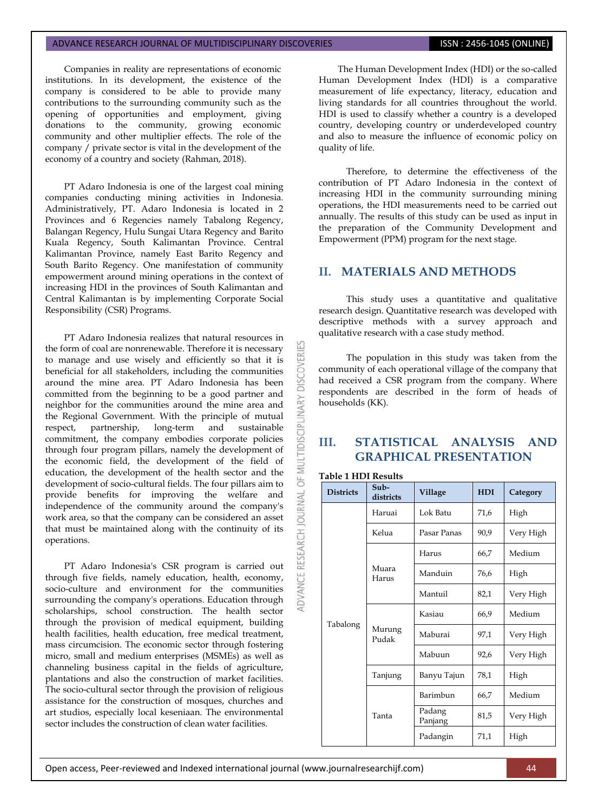#### ADVANCE RESEARCH JOURNAL OF MULTIDISCIPLINARY DISCOVERIES **ISSN : 2456-1045 (ONLINE)**

Companies in reality are representations of economic institutions. In its development, the existence of the company is considered to be able to provide many contributions to the surrounding community such as the opening of opportunities and employment, giving donations to the community, growing economic community and other multiplier effects. The role of the company / private sector is vital in the development of the economy of a country and society (Rahman, 2018).

PT Adaro Indonesia is one of the largest coal mining companies conducting mining activities in Indonesia. Administratively, PT. Adaro Indonesia is located in 2 Provinces and 6 Regencies namely Tabalong Regency, Balangan Regency, Hulu Sungai Utara Regency and Barito Kuala Regency, South Kalimantan Province. Central Kalimantan Province, namely East Barito Regency and South Barito Regency. One manifestation of community empowerment around mining operations in the context of increasing HDI in the provinces of South Kalimantan and Central Kalimantan is by implementing Corporate Social Responsibility (CSR) Programs.

PT Adaro Indonesia realizes that natural resources in the form of coal are nonrenewable. Therefore it is necessary to manage and use wisely and efficiently so that it is beneficial for all stakeholders, including the communities around the mine area. PT Adaro Indonesia has been committed from the beginning to be a good partner and neighbor for the communities around the mine area and the Regional Government. With the principle of mutual respect, partnership, long-term and sustainable commitment, the company embodies corporate policies through four program pillars, namely the development of the economic field, the development of the field of education, the development of the health sector and the development of socio-cultural fields. The four pillars aim to provide benefits for improving the welfare and independence of the community around the company's work area, so that the company can be considered an asset that must be maintained along with the continuity of its operations.

PT Adaro Indonesia's CSR program is carried out through five fields, namely education, health, economy, socio-culture and environment for the communities surrounding the company's operations. Education through scholarships, school construction. The health sector through the provision of medical equipment, building health facilities, health education, free medical treatment, mass circumcision. The economic sector through fostering micro, small and medium enterprises (MSMEs) as well as channeling business capital in the fields of agriculture, plantations and also the construction of market facilities. The socio-cultural sector through the provision of religious assistance for the construction of mosques, churches and art studios, especially local keseniaan. The environmental sector includes the construction of clean water facilities.

The Human Development Index (HDI) or the so-called Human Development Index (HDI) is a comparative measurement of life expectancy, literacy, education and living standards for all countries throughout the world. HDI is used to classify whether a country is a developed country, developing country or underdeveloped country and also to measure the influence of economic policy on quality of life.

Therefore, to determine the effectiveness of the contribution of PT Adaro Indonesia in the context of increasing HDI in the community surrounding mining operations, the HDI measurements need to be carried out annually. The results of this study can be used as input in the preparation of the Community Development and Empowerment (PPM) program for the next stage.

# **II. MATERIALS AND METHODS**

This study uses a quantitative and qualitative research design. Quantitative research was developed with descriptive methods with a survey approach and qualitative research with a case study method.

The population in this study was taken from the community of each operational village of the company that had received a CSR program from the company. Where respondents are described in the form of heads of households (KK).

# **III. STATISTICAL ANALYSIS AND GRAPHICAL PRESENTATION**

### **Table 1 HDI Results**

**DISCOVERI** 

**MULTIDISCIPLINARY** 

 $\overline{6}$ 

ADVANCE RESEARCH JOURNAL

| <b>Districts</b> | Sub-<br>districts | Village           | <b>HDI</b> | Category  |  |
|------------------|-------------------|-------------------|------------|-----------|--|
|                  | Haruai            | Lok Batu          | 71,6       | High      |  |
|                  | Kelua             | Pasar Panas       | 90,9       | Very High |  |
|                  |                   | Harus             | 66,7       | Medium    |  |
| Tabalong         | Muara<br>Harus    | Manduin           | 76,6       | High      |  |
|                  |                   | Mantuil           | 82,1       | Very High |  |
|                  | Murung<br>Pudak   | Kasiau            | 66,9       | Medium    |  |
|                  |                   | Maburai           | 97,1       | Very High |  |
|                  |                   | Mabuun            | 92,6       | Very High |  |
|                  | Tanjung           | Banyu Tajun       | 78,1       | High      |  |
|                  | Tanta             | Barimbun          | 66,7       | Medium    |  |
|                  |                   | Padang<br>Panjang | 81,5       | Very High |  |
|                  |                   | Padangin          | 71,1       | High      |  |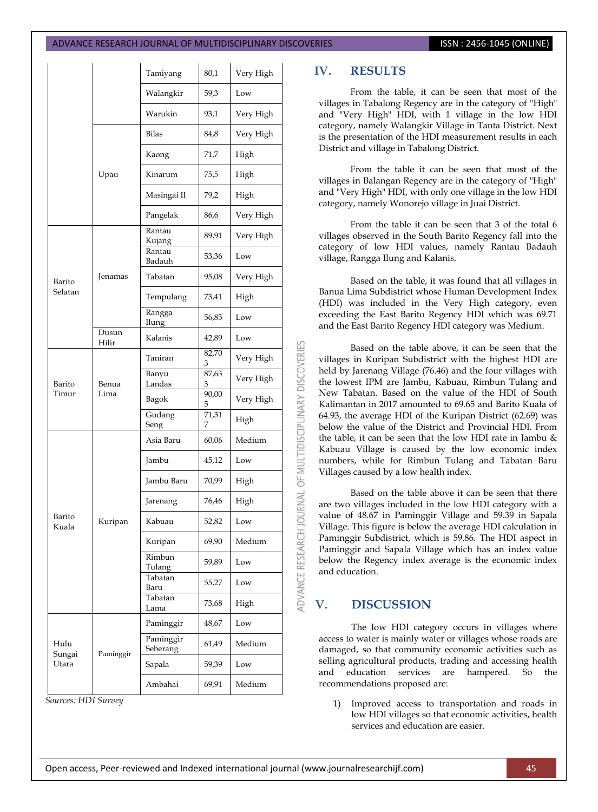#### ADVANCE RESEARCH JOURNAL OF MULTIDISCIPLINARY DISCOVERIES **ISSN : 2456-1045 (ONLINE**)

|                         |                | Tamiyang                     | 80,1       | Very High |
|-------------------------|----------------|------------------------------|------------|-----------|
|                         |                | Walangkir                    | 59,3       | Low       |
|                         |                | Warukin                      | 93,1       | Very High |
|                         | Upau           | Bilas                        | 84,8       | Very High |
|                         |                | Kaong                        | 71,7       | High      |
|                         |                | Kinarum                      | 75,5       | High      |
|                         |                | Masingai II                  | 79,2       | High      |
|                         |                | Pangelak                     | 86,6       | Very High |
| Barito<br>Selatan       | Jenamas        | Rantau<br>Kujang             | 89,91      | Very High |
|                         |                | Rantau<br>Badauh             | 53,36      | Low       |
|                         |                | Tabatan                      | 95,08      | Very High |
|                         |                | Tempulang                    | 73,41      | High      |
|                         |                | Rangga<br>Ilung              | 56,85      | Low       |
|                         | Dusun<br>Hilir | Kalanis                      | 42,89      | Low       |
| Barito<br>Timur         | Benua<br>Lima  | Taniran                      | 82,70<br>3 | Very High |
|                         |                | Banyu<br>Landas              | 87,63<br>З | Very High |
|                         |                | Bagok                        | 90,00<br>5 | Very High |
|                         |                | $\overline{G}$ udang<br>Seng | 71,31<br>7 | High      |
| Barito<br>Kuala         |                | Asia Baru                    | 60,06      | Medium    |
|                         | Kuripan        | Jambu                        | 45,12      | Low       |
|                         |                | Jambu Baru                   | 70,99      | High      |
|                         |                | Jarenang                     | 76,46      | High      |
|                         |                | Kabuau                       | 52,82      | Low       |
|                         |                | Kuripan                      | 69,90      | Medium    |
|                         |                | Rimbun<br>Tulang             | 59,89      | Low       |
|                         |                | Tabatan<br>Baru              | 55,27      | Low       |
|                         |                | Tabatan<br>Lama              | 73,68      | High      |
| Hulu<br>Sungai<br>Utara | Paminggir      | Paminggir                    | 48,67      | Low       |
|                         |                | Paminggir<br>Seberang        | 61,49      | Medium    |
|                         |                | Sapala                       | 59,39      | Low       |
|                         |                | Ambahai                      | 69,91      | Medium    |

*Sources: HDI Survey*

### **IV. RESULTS**

From the table, it can be seen that most of the villages in Tabalong Regency are in the category of "High" and "Very High" HDI, with 1 village in the low HDI category, namely Walangkir Village in Tanta District. Next is the presentation of the HDI measurement results in each District and village in Tabalong District.

From the table it can be seen that most of the villages in Balangan Regency are in the category of "High" and "Very High" HDI, with only one village in the low HDI category, namely Wonorejo village in Juai District.

From the table it can be seen that 3 of the total 6 villages observed in the South Barito Regency fall into the category of low HDI values, namely Rantau Badauh village, Rangga Ilung and Kalanis.

Based on the table, it was found that all villages in Banua Lima Subdistrict whose Human Development Index (HDI) was included in the Very High category, even exceeding the East Barito Regency HDI which was 69.71 and the East Barito Regency HDI category was Medium.

Based on the table above, it can be seen that the villages in Kuripan Subdistrict with the highest HDI are held by Jarenang Village (76.46) and the four villages with the lowest IPM are Jambu, Kabuau, Rimbun Tulang and New Tabatan. Based on the value of the HDI of South Kalimantan in 2017 amounted to 69.65 and Barito Kuala of 64.93, the average HDI of the Kuripan District (62.69) was below the value of the District and Provincial HDI. From the table, it can be seen that the low HDI rate in Jambu & Kabuau Village is caused by the low economic index numbers, while for Rimbun Tulang and Tabatan Baru Villages caused by a low health index.

Based on the table above it can be seen that there are two villages included in the low HDI category with a value of 48.67 in Paminggir Village and 59.39 in Sapala Village. This figure is below the average HDI calculation in Paminggir Subdistrict, which is 59.86. The HDI aspect in Paminggir and Sapala Village which has an index value below the Regency index average is the economic index and education.

## **V. DISCUSSION**

The low HDI category occurs in villages where access to water is mainly water or villages whose roads are damaged, so that community economic activities such as selling agricultural products, trading and accessing health and education services are hampered. So the recommendations proposed are:

1) Improved access to transportation and roads in low HDI villages so that economic activities, health services and education are easier.